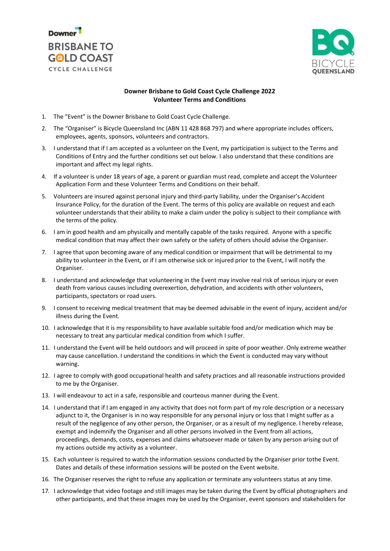



## **Downer Brisbane to Gold Coast Cycle Challenge 2022 Volunteer Terms and Conditions**

- 1. The "Event" is the Downer Brisbane to Gold Coast Cycle Challenge.
- 2. The "Organiser" is Bicycle Queensland Inc (ABN 11 428 868 797) and where appropriate includes officers, employees, agents, sponsors, volunteers and contractors.
- 3. I understand that if I am accepted as a volunteer on the Event, my participation is subject to the Terms and Conditions of Entry and the further conditions set out below. I also understand that these conditions are important and affect my legal rights.
- 4. If a volunteer is under 18 years of age, a parent or guardian must read, complete and accept the Volunteer Application Form and these Volunteer Terms and Conditions on their behalf.
- 5. Volunteers are insured against personal injury and third-party liability, under the Organiser's Accident Insurance Policy, for the duration of the Event. The terms of this policy are available on request and each volunteer understands that their ability to make a claim under the policy is subject to their compliance with the terms of the policy.
- 6. I am in good health and am physically and mentally capable of the tasks required. Anyone with a specific medical condition that may affect their own safety or the safety of others should advise the Organiser.
- 7. I agree that upon becoming aware of any medical condition or impairment that will be detrimental to my ability to volunteer in the Event, or if I am otherwise sick or injured prior to the Event, I will notify the Organiser.
- 8. I understand and acknowledge that volunteering in the Event may involve real risk of serious injury or even death from various causes including overexertion, dehydration, and accidents with other volunteers, participants, spectators or road users.
- 9. I consent to receiving medical treatment that may be deemed advisable in the event of injury, accident and/or illness during the Event.
- 10. I acknowledge that it is my responsibility to have available suitable food and/or medication which may be necessary to treat any particular medical condition from which I suffer.
- 11. I understand the Event will be held outdoors and will proceed in spite of poor weather. Only extreme weather may cause cancellation. I understand the conditions in which the Event is conducted may vary without warning.
- 12. I agree to comply with good occupational health and safety practices and all reasonable instructions provided to me by the Organiser.
- 13. I will endeavour to act in a safe, responsible and courteous manner during the Event.
- 14. I understand that if I am engaged in any activity that does not form part of my role description or a necessary adjunct to it, the Organiser is in no way responsible for any personal injury or loss that I might suffer as a result of the negligence of any other person, the Organiser, or as a result of my negligence. I hereby release, exempt and indemnify the Organiser and all other persons involved in the Event from all actions, proceedings, demands, costs, expenses and claims whatsoever made or taken by any person arising out of my actions outside my activity as a volunteer.
- 15. Each volunteer is required to watch the information sessions conducted by the Organiser prior tothe Event. Dates and details of these information sessions will be posted on the Event website.
- 16. The Organiser reserves the right to refuse any application or terminate any volunteers status at any time.
- 17. I acknowledge that video footage and still images may be taken during the Event by official photographers and other participants, and that these images may be used by the Organiser, event sponsors and stakeholders for